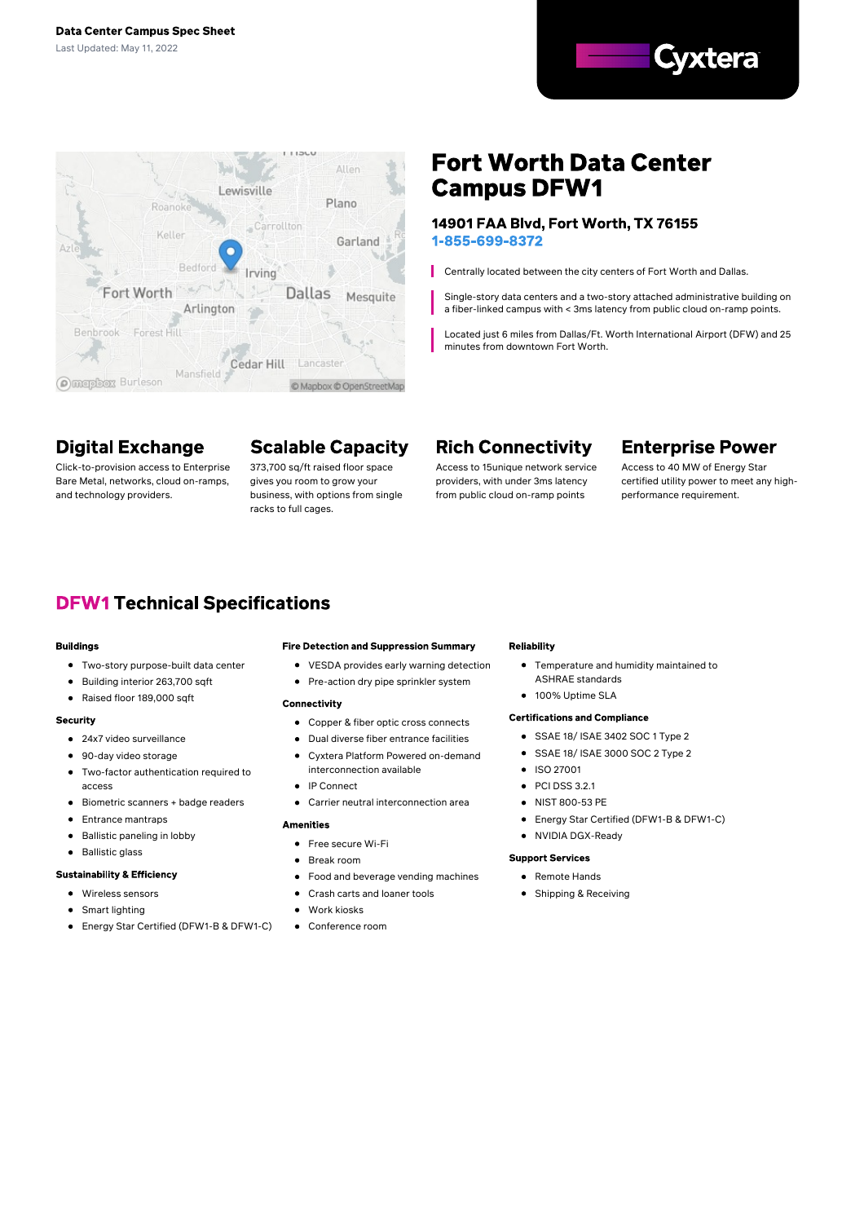



# **Fort Worth Data Center Campus DFW1**

#### 14901 FAA Blvd, Fort Worth, TX 76155 1-855-699-8372

Centrally located between the city centers of Fort Worth and Dallas.

Single-story data centers and a two-story attached administrative building on a fiber-linked campus with < 3ms latency from public cloud on-ramp points.

Located just 6 miles from Dallas/Ft. Worth International Airport (DFW) and 25 minutes from downtown Fort Worth.

## **Digital Exchange**

Click-to-provision access to Enterprise Bare Metal, networks, cloud on-ramps, and technology providers.

# **Scalable Capacity**

373,700 sq/ft raised floor space gives you room to grow your business, with options from single racks to full cages.

# **Rich Connectivity**

Access to 15unique network service providers, with under 3ms latency from public cloud on-ramp points

## **Enterprise Power**

Access to 40 MW of Energy Star certified utility power to meet any highperformance requirement.

## **DFW1 Technical Specifications**

#### **Buildings**

- Two-story purpose-built data center
- Building interior 263,700 sqft
- Raised floor 189,000 sqft  $\bullet$

#### Security

- 24x7 video surveillance
- 90-day video storage  $\bullet$
- Two-factor authentication required to  $\bullet$ access
- Biometric scanners + badge readers
- **•** Entrance mantraps
- $\bullet$ Ballistic paneling in lobby
- $\bullet$ Ballistic glass

#### **Sustainability & Efficiency**

- Wireless sensors
- Smart lighting
- Energy Star Certified (DFW1-B & DFW1-C)  $\bullet$

#### **Fire Detection and Suppression Summary**

- VESDA provides early warning detection
- Pre-action dry pipe sprinkler system

#### Connectivity

- Copper & fiber optic cross connects
- Dual diverse fiber entrance facilities
	- Cyxtera Platform Powered on-demand interconnection available
- IP Connect
- $\bullet$ Carrier neutral interconnection area

#### **Amenities**

- $\bullet$ Free secure Wi-Fi
- Break room
- Food and beverage vending machines
- $\bullet$ Crash carts and loaner tools
- Work kiosks
- Conference room

#### **Reliability**

- Temperature and humidity maintained to ASHRAE standards
- 100% Uptime SLA

#### **Certifications and Compliance**

- SSAE 18/ ISAE 3402 SOC 1 Type 2
- $\bullet$ SSAE 18/ ISAE 3000 SOC 2 Type 2
- $\bullet$ ISO 27001
- $\blacksquare$ PCI DSS 3.2.1
- NIST 800-53 PE
- Energy Star Certified (DFW1-B & DFW1-C)
- NVIDIA DGX-Ready

#### **Support Services**

- Remote Hands
- Shipping & Receiving  $\bullet$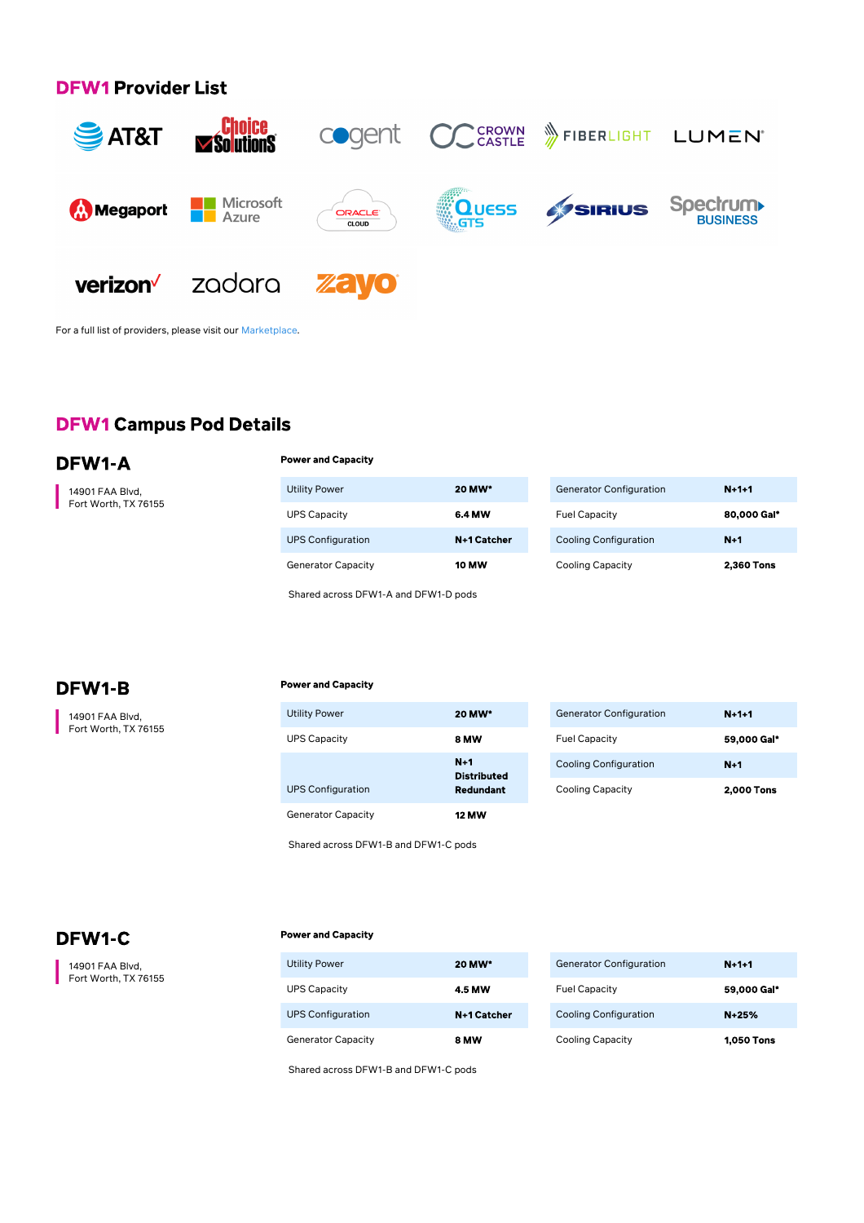### **DFW1 Provider List**



For a full list of providers, please visit our [Marketplace](https://marketplace.cyxtera.com/providers).

### **DFW1 Campus Pod Details**

DFW1-A

14901 FAA Blvd, Fort Worth, TX 76155

| <b>Utility Power</b>      | 20 MW*       |
|---------------------------|--------------|
| <b>UPS Capacity</b>       | 6.4 MW       |
| <b>UPS Configuration</b>  | N+1 Catcher  |
| <b>Generator Capacity</b> | <b>10 MW</b> |

Generator Configuration  $N + 1 + 1$ Fuel Capacity 80,000 Gal\* Cooling Configuration  $N+1$ Cooling Capacity 2,360 Tons

Shared across DFW1-A and DFW1-D pods

## DFW1-B

14901 FAA Blvd, Fort Worth, TX 76155

#### **Power and Capacity**

**Power and Capacity** 

| <b>Utility Power</b>      | 20 MW*                                   |
|---------------------------|------------------------------------------|
| <b>UPS Capacity</b>       | 8 MW                                     |
| <b>UPS Configuration</b>  | $N+1$<br><b>Distributed</b><br>Redundant |
| <b>Generator Capacity</b> | 12 MW                                    |

Generator Configuration  $N + 1 + 1$ Fuel Capacity 59,000 Gal\* Cooling Configuration  $N+1$ Cooling Capacity 2,000 Tons

Shared across DFW1-B and DFW1-C pods

### DFW1-C

14901 FAA Blvd, Fort Worth, TX 76155

#### **Power and Capacity**

| <b>Utility Power</b>      | 20 MW*      |
|---------------------------|-------------|
| <b>UPS Capacity</b>       | 4.5 MW      |
| <b>UPS Configuration</b>  | N+1 Catcher |
| <b>Generator Capacity</b> | 8 MW        |

Shared across DFW1-B and DFW1-C pods

| <b>Generator Configuration</b> | $N + 1 + 1$       |
|--------------------------------|-------------------|
| <b>Fuel Capacity</b>           | 59,000 Gal*       |
| <b>Cooling Configuration</b>   | $N + 25%$         |
| Cooling Capacity               | <b>1,050 Tons</b> |